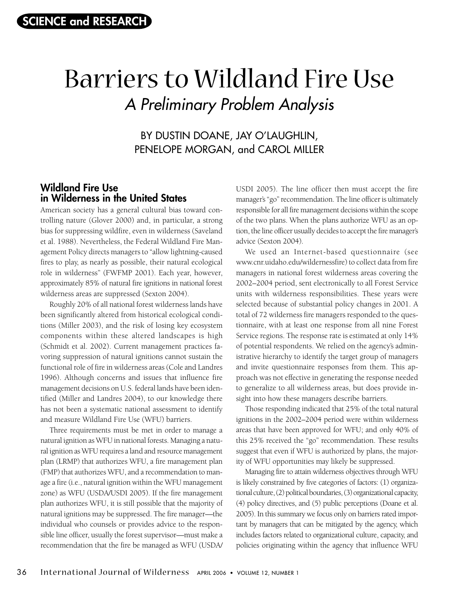# Barriers to Wildland Fire Use A Preliminary Problem Analysis

BY DUSTIN DOANE, JAY O'LAUGHLIN, PENELOPE MORGAN, and CAROL MILLER

## **Wildland Fire Use in Wilderness in the United States**

American society has a general cultural bias toward controlling nature (Glover 2000) and, in particular, a strong bias for suppressing wildfire, even in wilderness (Saveland et al. 1988). Nevertheless, the Federal Wildland Fire Management Policy directs managers to "allow lightning-caused fires to play, as nearly as possible, their natural ecological role in wilderness" (FWFMP 2001). Each year, however, approximately 85% of natural fire ignitions in national forest wilderness areas are suppressed (Sexton 2004).

Roughly 20% of all national forest wilderness lands have been significantly altered from historical ecological conditions (Miller 2003), and the risk of losing key ecosystem components within these altered landscapes is high (Schmidt et al. 2002). Current management practices favoring suppression of natural ignitions cannot sustain the functional role of fire in wilderness areas (Cole and Landres 1996). Although concerns and issues that influence fire management decisions on U.S. federal lands have been identified (Miller and Landres 2004), to our knowledge there has not been a systematic national assessment to identify and measure Wildland Fire Use (WFU) barriers.

Three requirements must be met in order to manage a natural ignition as WFU in national forests. Managing a natural ignition as WFU requires a land and resource management plan (LRMP) that authorizes WFU, a fire management plan (FMP) that authorizes WFU, and a recommendation to manage a fire (i.e., natural ignition within the WFU management zone) as WFU (USDA/USDI 2005). If the fire management plan authorizes WFU, it is still possible that the majority of natural ignitions may be suppressed. The fire manager—the individual who counsels or provides advice to the responsible line officer, usually the forest supervisor—must make a recommendation that the fire be managed as WFU (USDA/ USDI 2005). The line officer then must accept the fire manager's "go" recommendation. The line officer is ultimately responsible for all fire management decisions within the scope of the two plans. When the plans authorize WFU as an option, the line officer usually decides to accept the fire manager's advice (Sexton 2004).

We used an Internet-based questionnaire (see www.cnr.uidaho.edu/wildernessfire) to collect data from fire managers in national forest wilderness areas covering the 2002–2004 period, sent electronically to all Forest Service units with wilderness responsibilities. These years were selected because of substantial policy changes in 2001. A total of 72 wilderness fire managers responded to the questionnaire, with at least one response from all nine Forest Service regions. The response rate is estimated at only 14% of potential respondents. We relied on the agency's administrative hierarchy to identify the target group of managers and invite questionnaire responses from them. This approach was not effective in generating the response needed to generalize to all wilderness areas, but does provide insight into how these managers describe barriers.

Those responding indicated that 25% of the total natural ignitions in the 2002–2004 period were within wilderness areas that have been approved for WFU; and only 40% of this 25% received the "go" recommendation. These results suggest that even if WFU is authorized by plans, the majority of WFU opportunities may likely be suppressed.

Managing fire to attain wilderness objectives through WFU is likely constrained by five categories of factors: (1) organizational culture, (2) political boundaries, (3) organizational capacity, (4) policy directives, and (5) public perceptions (Doane et al. 2005). In this summary we focus only on barriers rated important by managers that can be mitigated by the agency, which includes factors related to organizational culture, capacity, and policies originating within the agency that influence WFU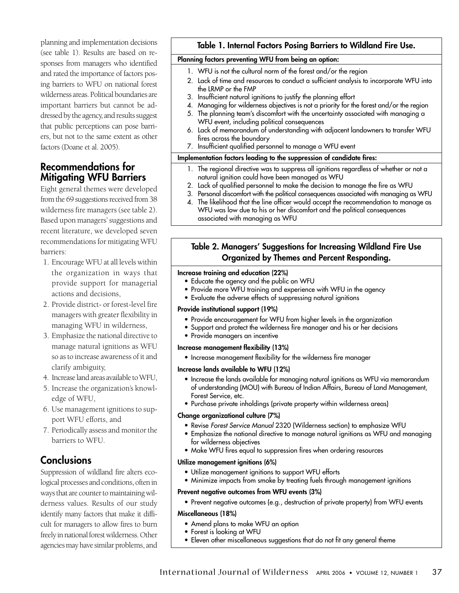planning and implementation decisions (see table 1). Results are based on responses from managers who identified and rated the importance of factors posing barriers to WFU on national forest wilderness areas. Political boundaries are important barriers but cannot be addressed by the agency, and results suggest that public perceptions can pose barriers, but not to the same extent as other factors (Doane et al. 2005).

## **Recommendations for Mitigating WFU Barriers**

Eight general themes were developed from the 69 suggestions received from 38 wilderness fire managers (see table 2). Based upon managers' suggestions and recent literature, we developed seven recommendations for mitigating WFU barriers:

- 1. Encourage WFU at all levels within the organization in ways that provide support for managerial actions and decisions,
- 2. Provide district- or forest-level fire managers with greater flexibility in managing WFU in wilderness,
- 3. Emphasize the national directive to manage natural ignitions as WFU so as to increase awareness of it and clarify ambiguity,
- 4. Increase land areas available to WFU,
- 5. Increase the organization's knowledge of WFU,
- 6. Use management ignitions to support WFU efforts, and
- 7. Periodically assess and monitor the barriers to WFU.

# **Conclusions**

Suppression of wildland fire alters ecological processes and conditions, often in ways that are counter to maintaining wilderness values. Results of our study identify many factors that make it difficult for managers to allow fires to burn freely in national forest wilderness. Other agencies may have similar problems, and

### **Table 1. Internal Factors Posing Barriers to Wildland Fire Use.**

#### **Planning factors preventing WFU from being an option:**

- 1. WFU is not the cultural norm of the forest and/or the region
- 2. Lack of time and resources to conduct a sufficient analysis to incorporate WFU into the LRMP or the FMP
- 3. Insufficient natural ignitions to justify the planning effort
- 4. Managing for wilderness objectives is not a priority for the forest and/or the region
- 5. The planning team's discomfort with the uncertainty associated with managing a WFU event, including political consequences
- 6. Lack of memorandum of understanding with adjacent landowners to transfer WFU fires across the boundary
- 7. Insufficient qualified personnel to manage a WFU event

#### **Implementation factors leading to the suppression of candidate fires:**

- 1. The regional directive was to suppress all ignitions regardless of whether or not a natural ignition could have been managed as WFU
- 2. Lack of qualified personnel to make the decision to manage the fire as WFU
- 3. Personal discomfort with the political consequences associated with managing as WFU
- 4. The likelihood that the line officer would accept the recommendation to manage as WFU was low due to his or her discomfort and the political consequences associated with managing as WFU

## **Table 2. Managers' Suggestions for Increasing Wildland Fire Use Organized by Themes and Percent Responding.**

#### **Increase training and education (22%)**

- Educate the agency and the public on WFU
- Provide more WFU training and experience with WFU in the agency
- Evaluate the adverse effects of suppressing natural ignitions

#### **Provide institutional support (19%)**

- Provide encouragement for WFU from higher levels in the organization
- Support and protect the wilderness fire manager and his or her decisions
- Provide managers an incentive

#### **Increase management flexibility (13%)**

• Increase management flexibility for the wilderness fire manager

#### **Increase lands available to WFU (12%)**

- Increase the lands available for managing natural ignitions as WFU via memorandum of understanding (MOU) with Bureau of Indian Affairs, Bureau of Land Management, Forest Service, etc.
- Purchase private inholdings (private property within wilderness areas)

#### **Change organizational culture (7%)**

- Revise Forest Service Manual 2320 (Wilderness section) to emphasize WFU
- Emphasize the national directive to manage natural ignitions as WFU and managing for wilderness objectives
- Make WFU fires equal to suppression fires when ordering resources

#### **Utilize management ignitions (6%)**

- Utilize management ignitions to support WFU efforts
- Minimize impacts from smoke by treating fuels through management ignitions

#### **Prevent negative outcomes from WFU events (3%)**

• Prevent negative outcomes (e.g., destruction of private property) from WFU events

#### **Miscellaneous (18%)**

- Amend plans to make WFU an option
- Forest is looking at WFU
- Eleven other miscellaneous suggestions that do not fit any general theme